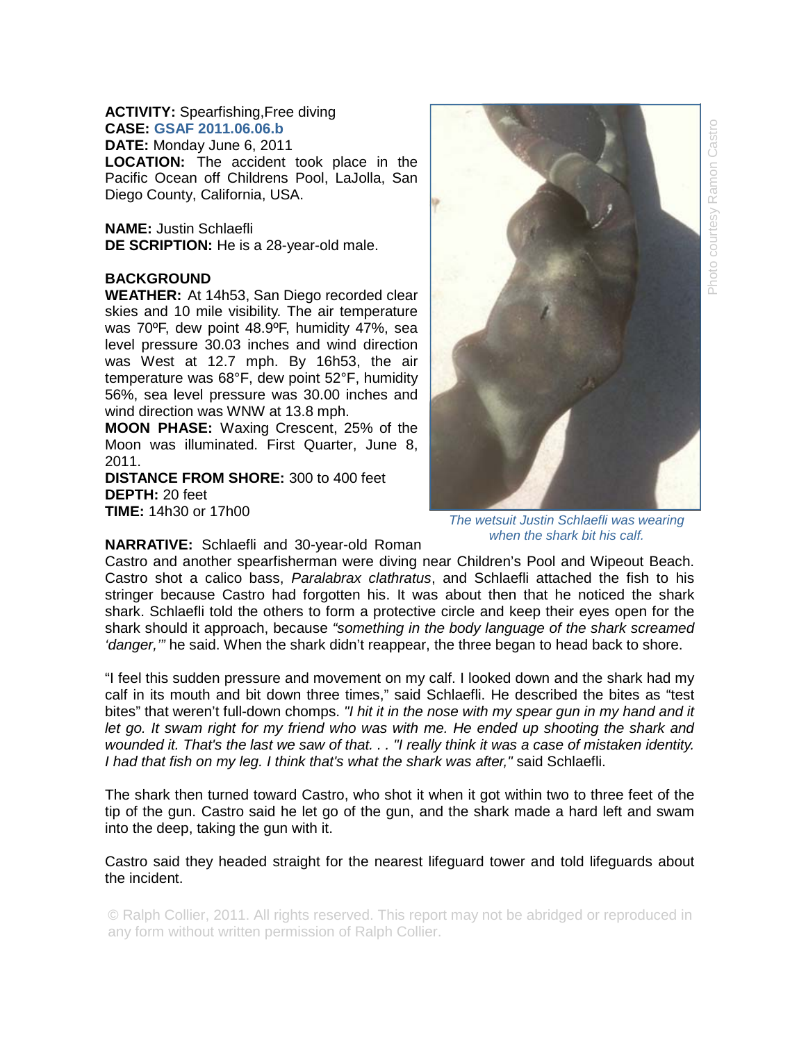## **ACTIVITY:** Spearfishing,Free diving **CASE: GSAF 2011.06.06.b**

**DATE:** Monday June 6, 2011 **LOCATION:** The accident took place in the Pacific Ocean off Childrens Pool, LaJolla, San Diego County, California, USA.

**NAME:** Justin Schlaefli **DE SCRIPTION:** He is a 28-year-old male.

## **BACKGROUND**

**WEATHER:** At 14h53, San Diego recorded clear skies and 10 mile visibility. The air temperature was 70ºF, dew point 48.9ºF, humidity 47%, sea level pressure 30.03 inches and wind direction was West at 12.7 mph. By 16h53, the air temperature was 68°F, dew point 52°F, humidity 56%, sea level pressure was 30.00 inches and wind direction was WNW at 13.8 mph.

**MOON PHASE:** Waxing Crescent, 25% of the Moon was illuminated. First Quarter, June 8, 2011.

**DISTANCE FROM SHORE:** 300 to 400 feet **DEPTH:** 20 feet **TIME:** 14h30 or 17h00

*The wetsuit Justin Schlaefli was wearing when the shark bit his calf.* 

**NARRATIVE:** Schlaefli and 30-year-old Roman

Castro and another spearfisherman were diving near Children's Pool and Wipeout Beach. Castro shot a calico bass, *Paralabrax clathratus*, and Schlaefli attached the fish to his stringer because Castro had forgotten his. It was about then that he noticed the shark shark. Schlaefli told the others to form a protective circle and keep their eyes open for the shark should it approach, because *"something in the body language of the shark screamed 'danger,'"* he said. When the shark didn't reappear, the three began to head back to shore.

"I feel this sudden pressure and movement on my calf. I looked down and the shark had my calf in its mouth and bit down three times," said Schlaefli. He described the bites as "test bites" that weren't full-down chomps. *"I hit it in the nose with my spear gun in my hand and it*  let go. It swam right for my friend who was with me. He ended up shooting the shark and *wounded it. That's the last we saw of that. . . "I really think it was a case of mistaken identity. I had that fish on my leg. I think that's what the shark was after,"* said Schlaefli.

The shark then turned toward Castro, who shot it when it got within two to three feet of the tip of the gun. Castro said he let go of the gun, and the shark made a hard left and swam into the deep, taking the gun with it.

Castro said they headed straight for the nearest lifeguard tower and told lifeguards about the incident.

© Ralph Collier, 2011. All rights reserved. This report may not be abridged or reproduced in any form without written permission of Ralph Collier.